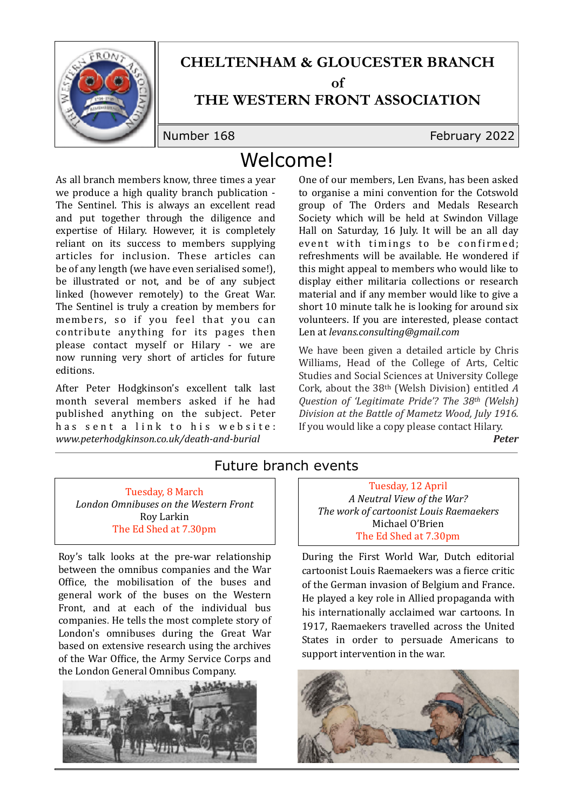

## **CHELTENHAM & GLOUCESTER BRANCH**

**of** 

### **THE WESTERN FRONT ASSOCIATION**

Number 168 February 2022

# Welcome!

As all branch members know, three times a year we produce a high quality branch publication -The Sentinel. This is always an excellent read and put together through the diligence and expertise of Hilary. However, it is completely reliant on its success to members supplying articles for inclusion. These articles can be of any length (we have even serialised some!), be illustrated or not, and be of any subject linked (however remotely) to the Great War. The Sentinel is truly a creation by members for members, so if you feel that you can contribute anything for its pages then please contact myself or Hilary - we are now running very short of articles for future editions.

After Peter Hodgkinson's excellent talk last month several members asked if he had published anything on the subject. Peter has sent a link to his website: *www.peterhodgkinson.co.uk/death-and-burial*

One of our members, Len Evans, has been asked to organise a mini convention for the Cotswold group of The Orders and Medals Research Society which will be held at Swindon Village Hall on Saturday, 16 July. It will be an all day event with timings to be confirmed; refreshments will be available. He wondered if this might appeal to members who would like to display either militaria collections or research material and if any member would like to give a short 10 minute talk he is looking for around six volunteers. If you are interested, please contact Len at *levans.consulting@gmail.com*

We have been given a detailed article by Chris Williams, Head of the College of Arts, Celtic Studies and Social Sciences at University College Cork, about the 38<sup>th</sup> (Welsh Division) entitled *A Question of 'Legitimate Pride'? The 38th (Welsh) Division at the Battle of Mametz Wood, July 1916.* If you would like a copy please contact Hilary.

 *Peter*

#### Future branch events

Tuesday, 8 March *London Omnibuses on the Western Front* Roy Larkin The Ed Shed at 7.30pm

Roy's talk looks at the pre-war relationship between the omnibus companies and the War Office, the mobilisation of the buses and general work of the buses on the Western Front, and at each of the individual bus companies. He tells the most complete story of London's omnibuses during the Great War based on extensive research using the archives of the War Office, the Army Service Corps and the London General Omnibus Company.



Tuesday, 12 April *A Neutral View of the War?* **The work of cartoonist Louis Raemaekers** Michael O'Brien The Ed Shed at 7.30pm

During the First World War, Dutch editorial cartoonist Louis Raemaekers was a fierce critic of the German invasion of Belgium and France. He played a key role in Allied propaganda with his internationally acclaimed war cartoons. In 1917, Raemaekers travelled across the United States in order to persuade Americans to support intervention in the war.